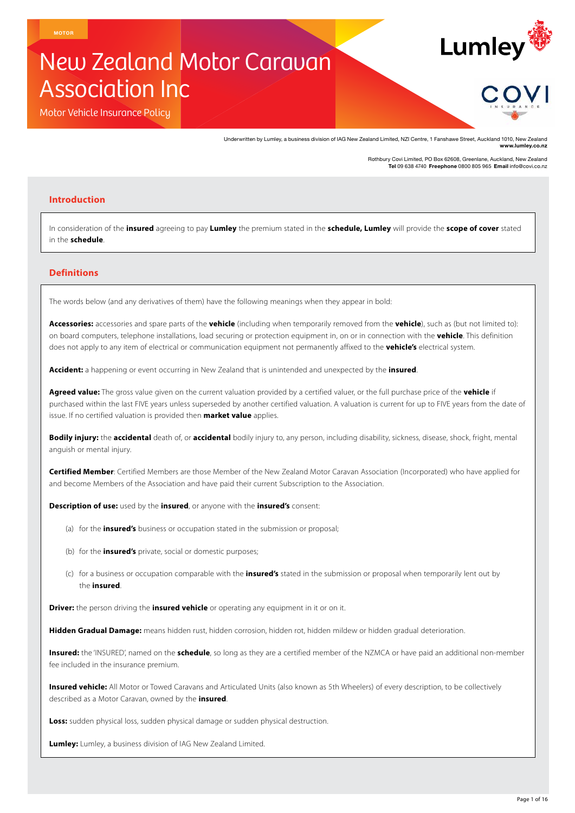# New Zealand Motor Caravan Association Inc

Motor Vehicle Insurance Policy

Underwritten by Lumley, a business division of IAG New Zealand Limited, NZI Centre, 1 Fanshawe Street, Auckland 1010, New Zealand **www.lumley.co.nz**

Rothbury Covi Limited, PO Box 62608, Greenlane, Auckland, New Zealand **Tel** 09 638 4740 **Freephone** 0800 805 965 **Email** info@covi.co.nz

Lumley<sup></sup>

## **Introduction**

In consideration of the **insured** agreeing to pay **Lumley** the premium stated in the **schedule, Lumley** will provide the **scope of cover** stated in the **schedule**.

# **Definitions**

The words below (and any derivatives of them) have the following meanings when they appear in bold:

**Accessories:** accessories and spare parts of the **vehicle** (including when temporarily removed from the **vehicle**), such as (but not limited to): on board computers, telephone installations, load securing or protection equipment in, on or in connection with the **vehicle**. This definition does not apply to any item of electrical or communication equipment not permanently affixed to the **vehicle's** electrical system.

**Accident:** a happening or event occurring in New Zealand that is unintended and unexpected by the **insured**.

**Agreed value:** The gross value given on the current valuation provided by a certified valuer, or the full purchase price of the **vehicle** if purchased within the last FIVE years unless superseded by another certified valuation. A valuation is current for up to FIVE years from the date of issue. If no certified valuation is provided then **market value** applies.

**Bodily injury:** the **accidental** death of, or **accidental** bodily injury to, any person, including disability, sickness, disease, shock, fright, mental anguish or mental injury.

**Certified Member**: Certified Members are those Member of the New Zealand Motor Caravan Association (Incorporated) who have applied for and become Members of the Association and have paid their current Subscription to the Association.

**Description of use:** used by the **insured**, or anyone with the **insured's** consent:

- (a) for the **insured's** business or occupation stated in the submission or proposal;
- (b) for the **insured's** private, social or domestic purposes;
- (c) for a business or occupation comparable with the **insured's** stated in the submission or proposal when temporarily lent out by the **insured**.

**Driver:** the person driving the **insured vehicle** or operating any equipment in it or on it.

**Hidden Gradual Damage:** means hidden rust, hidden corrosion, hidden rot, hidden mildew or hidden gradual deterioration.

**Insured:** the 'INSURED', named on the **schedule**, so long as they are a certified member of the NZMCA or have paid an additional non-member fee included in the insurance premium.

**Insured vehicle:** All Motor or Towed Caravans and Articulated Units (also known as 5th Wheelers) of every description, to be collectively described as a Motor Caravan, owned by the **insured**.

**Loss:** sudden physical loss, sudden physical damage or sudden physical destruction.

**Lumley:** Lumley, a business division of IAG New Zealand Limited.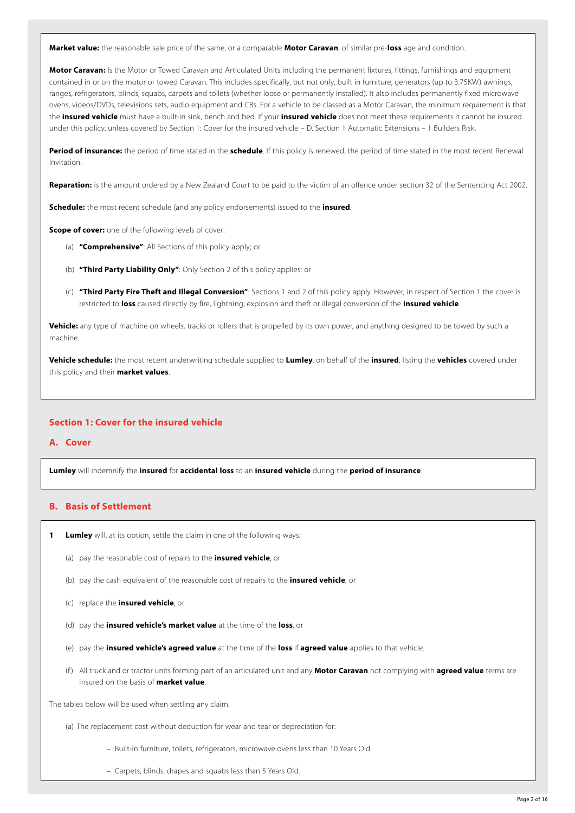**Market value:** the reasonable sale price of the same, or a comparable **Motor Caravan**, of similar pre-**loss** age and condition.

**Motor Caravan:** Is the Motor or Towed Caravan and Articulated Units including the permanent fixtures, fittings, furnishings and equipment contained in or on the motor or towed Caravan. This includes specifically, but not only, built in furniture, generators (up to 3.75KW) awnings, ranges, refrigerators, blinds, squabs, carpets and toilets (whether loose or permanently installed). It also includes permanently fixed microwave ovens, videos/DVDs, televisions sets, audio equipment and CBs. For a vehicle to be classed as a Motor Caravan, the minimum requirement is that the **insured vehicle** must have a built-in sink, bench and bed. If your **insured vehicle** does not meet these requirements it cannot be insured under this policy, unless covered by Section 1: Cover for the insured vehicle – D. Section 1 Automatic Extensions – 1 Builders Risk.

**Period of insurance:** the period of time stated in the **schedule**. If this policy is renewed, the period of time stated in the most recent Renewal Invitation.

**Reparation:** is the amount ordered by a New Zealand Court to be paid to the victim of an offence under section 32 of the Sentencing Act 2002.

**Schedule:** the most recent schedule (and any policy endorsements) issued to the **insured**.

**Scope of cover:** one of the following levels of cover:

- (a) **"Comprehensive"**: All Sections of this policy apply; or
- (b) **"Third Party Liability Only"**: Only Section 2 of this policy applies; or
- (c) **"Third Party Fire Theft and Illegal Conversion"**: Sections 1 and 2 of this policy apply. However, in respect of Section 1 the cover is restricted to **loss** caused directly by fire, lightning; explosion and theft or illegal conversion of the **insured vehicle**.

**Vehicle:** any type of machine on wheels, tracks or rollers that is propelled by its own power, and anything designed to be towed by such a machine.

**Vehicle schedule:** the most recent underwriting schedule supplied to **Lumley**, on behalf of the **insured**, listing the **vehicles** covered under this policy and their **market values**.

## **Section 1: Cover for the insured vehicle**

## **A. Cover**

**Lumley** will indemnify the **insured** for **accidental loss** to an **insured vehicle** during the **period of insurance**.

## **B. Basis of Settlement**

- **1 Lumley** will, at its option, settle the claim in one of the following ways:
	- (a) pay the reasonable cost of repairs to the **insured vehicle**, or
	- (b) pay the cash equivalent of the reasonable cost of repairs to the **insured vehicle**, or
	- (c) replace the **insured vehicle**, or
	- (d) pay the **insured vehicle's market value** at the time of the **loss**, or
	- (e) pay the **insured vehicle's agreed value** at the time of the **loss** if **agreed value** applies to that vehicle.
	- (f ) All truck and or tractor units forming part of an articulated unit and any **Motor Caravan** not complying with **agreed value** terms are insured on the basis of **market value**.

The tables below will be used when settling any claim:

(a) The replacement cost without deduction for wear and tear or depreciation for:

- Built-in furniture, toilets, refrigerators, microwave ovens less than 10 Years Old.
- Carpets, blinds, drapes and squabs less than 5 Years Old.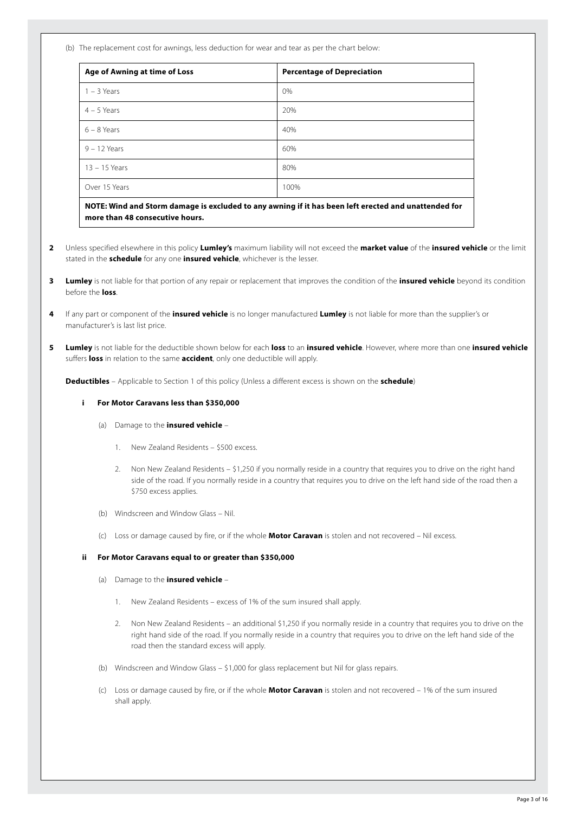(b) The replacement cost for awnings, less deduction for wear and tear as per the chart below:

| <b>Age of Awning at time of Loss</b>                                                                           | <b>Percentage of Depreciation</b> |
|----------------------------------------------------------------------------------------------------------------|-----------------------------------|
| $1 - 3$ Years                                                                                                  | 0%                                |
| $4 - 5$ Years                                                                                                  | 20%                               |
| $6 - 8$ Years                                                                                                  | 40%                               |
| $9 - 12$ Years                                                                                                 | 60%                               |
| $13 - 15$ Years                                                                                                | 80%                               |
| Over 15 Years                                                                                                  | 100%                              |
| MOTE. Which and Change damages to control ad has accessible of this as a control and and an above had not be d |                                   |

**NOTE: Wind and Storm damage is excluded to any awning if it has been left erected and unattended for more than 48 consecutive hours.**

- **2** Unless specified elsewhere in this policy **Lumley's** maximum liability will not exceed the **market value** of the **insured vehicle** or the limit stated in the **schedule** for any one **insured vehicle**, whichever is the lesser.
- **3 Lumley** is not liable for that portion of any repair or replacement that improves the condition of the **insured vehicle** beyond its condition before the **loss**.
- **4** If any part or component of the **insured vehicle** is no longer manufactured **Lumley** is not liable for more than the supplier's or manufacturer's is last list price.
- **5 Lumley** is not liable for the deductible shown below for each **loss** to an **insured vehicle**. However, where more than one **insured vehicle** suffers **loss** in relation to the same **accident**, only one deductible will apply.

**Deductibles** – Applicable to Section 1 of this policy (Unless a different excess is shown on the **schedule**)

## **i For Motor Caravans less than \$350,000**

- (a) Damage to the **insured vehicle**
	- 1. New Zealand Residents \$500 excess.
	- 2. Non New Zealand Residents \$1,250 if you normally reside in a country that requires you to drive on the right hand side of the road. If you normally reside in a country that requires you to drive on the left hand side of the road then a \$750 excess applies.
- (b) Windscreen and Window Glass Nil.
- (c) Loss or damage caused by fire, or if the whole **Motor Caravan** is stolen and not recovered Nil excess.

## **ii For Motor Caravans equal to or greater than \$350,000**

- (a) Damage to the **insured vehicle**
	- 1. New Zealand Residents excess of 1% of the sum insured shall apply.
	- 2. Non New Zealand Residents an additional \$1,250 if you normally reside in a country that requires you to drive on the right hand side of the road. If you normally reside in a country that requires you to drive on the left hand side of the road then the standard excess will apply.
- (b) Windscreen and Window Glass \$1,000 for glass replacement but Nil for glass repairs.
- (c) Loss or damage caused by fire, or if the whole **Motor Caravan** is stolen and not recovered 1% of the sum insured shall apply.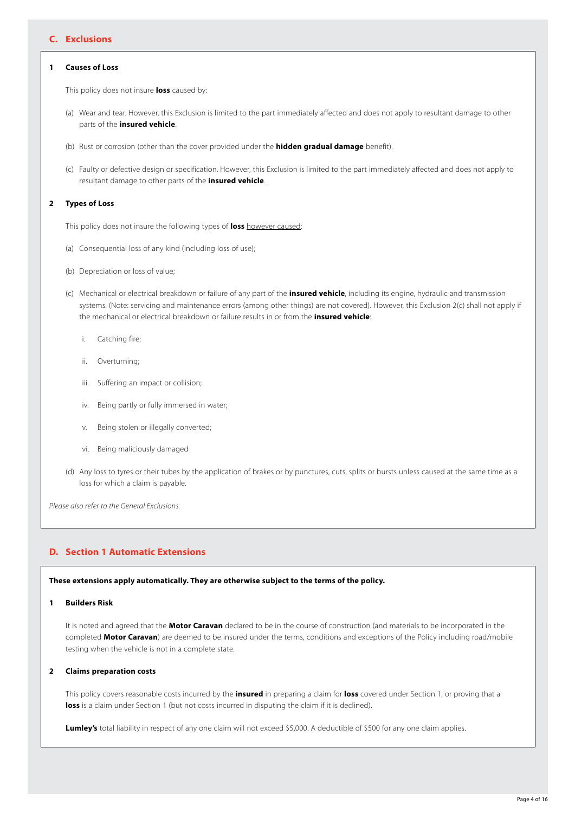# **C. Exclusions**

## **1 Causes of Loss**

This policy does not insure **loss** caused by:

- (a) Wear and tear. However, this Exclusion is limited to the part immediately affected and does not apply to resultant damage to other parts of the **insured vehicle**.
- (b) Rust or corrosion (other than the cover provided under the **hidden gradual damage** benefit).
- (c) Faulty or defective design or specification. However, this Exclusion is limited to the part immediately affected and does not apply to resultant damage to other parts of the **insured vehicle**.

## **2 Types of Loss**

This policy does not insure the following types of **loss** however caused:

- (a) Consequential loss of any kind (including loss of use);
- (b) Depreciation or loss of value;
- (c) Mechanical or electrical breakdown or failure of any part of the **insured vehicle**, including its engine, hydraulic and transmission systems. (Note: servicing and maintenance errors (among other things) are not covered). However, this Exclusion 2(c) shall not apply if the mechanical or electrical breakdown or failure results in or from the **insured vehicle**:
	- i. Catching fire;
	- ii. Overturning;
	- iii. Suffering an impact or collision;
	- iv. Being partly or fully immersed in water;
	- v. Being stolen or illegally converted;
	- vi. Being maliciously damaged
- (d) Any loss to tyres or their tubes by the application of brakes or by punctures, cuts, splits or bursts unless caused at the same time as a loss for which a claim is payable.

*Please also refer to the General Exclusions.*

# **D. Section 1 Automatic Extensions**

# **These extensions apply automatically. They are otherwise subject to the terms of the policy.**

## **1 Builders Risk**

It is noted and agreed that the **Motor Caravan** declared to be in the course of construction (and materials to be incorporated in the completed **Motor Caravan**) are deemed to be insured under the terms, conditions and exceptions of the Policy including road/mobile testing when the vehicle is not in a complete state.

## **2 Claims preparation costs**

This policy covers reasonable costs incurred by the **insured** in preparing a claim for **loss** covered under Section 1, or proving that a **loss** is a claim under Section 1 (but not costs incurred in disputing the claim if it is declined).

**Lumley's** total liability in respect of any one claim will not exceed \$5,000. A deductible of \$500 for any one claim applies.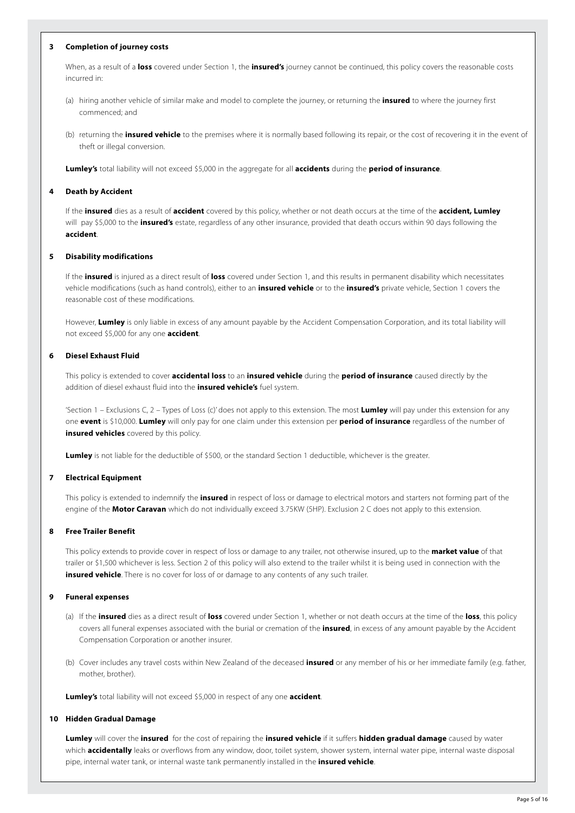## **3 Completion of journey costs**

When, as a result of a **loss** covered under Section 1, the **insured's** journey cannot be continued, this policy covers the reasonable costs incurred in:

- (a) hiring another vehicle of similar make and model to complete the journey, or returning the **insured** to where the journey first commenced; and
- (b) returning the **insured vehicle** to the premises where it is normally based following its repair, or the cost of recovering it in the event of theft or illegal conversion.

**Lumley's** total liability will not exceed \$5,000 in the aggregate for all **accidents** during the **period of insurance**.

#### **4 Death by Accident**

If the **insured** dies as a result of **accident** covered by this policy, whether or not death occurs at the time of the **accident, Lumley** will pay \$5,000 to the **insured's** estate, regardless of any other insurance, provided that death occurs within 90 days following the **accident**.

#### **5 Disability modifications**

If the **insured** is injured as a direct result of **loss** covered under Section 1, and this results in permanent disability which necessitates vehicle modifications (such as hand controls), either to an **insured vehicle** or to the **insured's** private vehicle, Section 1 covers the reasonable cost of these modifications.

However, **Lumley** is only liable in excess of any amount payable by the Accident Compensation Corporation, and its total liability will not exceed \$5,000 for any one **accident**.

## **6 Diesel Exhaust Fluid**

This policy is extended to cover **accidental loss** to an **insured vehicle** during the **period of insurance** caused directly by the addition of diesel exhaust fluid into the **insured vehicle's** fuel system.

'Section 1 – Exclusions C, 2 – Types of Loss (c)' does not apply to this extension. The most **Lumley** will pay under this extension for any one **event** is \$10,000. **Lumley** will only pay for one claim under this extension per **period of insurance** regardless of the number of **insured vehicles** covered by this policy.

**Lumley** is not liable for the deductible of \$500, or the standard Section 1 deductible, whichever is the greater.

#### **7 Electrical Equipment**

This policy is extended to indemnify the **insured** in respect of loss or damage to electrical motors and starters not forming part of the engine of the **Motor Caravan** which do not individually exceed 3.75KW (5HP). Exclusion 2 C does not apply to this extension.

#### **8 Free Trailer Benefit**

This policy extends to provide cover in respect of loss or damage to any trailer, not otherwise insured, up to the **market value** of that trailer or \$1,500 whichever is less. Section 2 of this policy will also extend to the trailer whilst it is being used in connection with the **insured vehicle**. There is no cover for loss of or damage to any contents of any such trailer.

## **9 Funeral expenses**

- (a) If the **insured** dies as a direct result of **loss** covered under Section 1, whether or not death occurs at the time of the **loss**, this policy covers all funeral expenses associated with the burial or cremation of the **insured**, in excess of any amount payable by the Accident Compensation Corporation or another insurer.
- (b) Cover includes any travel costs within New Zealand of the deceased **insured** or any member of his or her immediate family (e.g. father, mother, brother).

**Lumley's** total liability will not exceed \$5,000 in respect of any one **accident**.

#### **10 Hidden Gradual Damage**

**Lumley** will cover the **insured** for the cost of repairing the **insured vehicle** if it suffers **hidden gradual damage** caused by water which **accidentally** leaks or overflows from any window, door, toilet system, shower system, internal water pipe, internal waste disposal pipe, internal water tank, or internal waste tank permanently installed in the **insured vehicle**.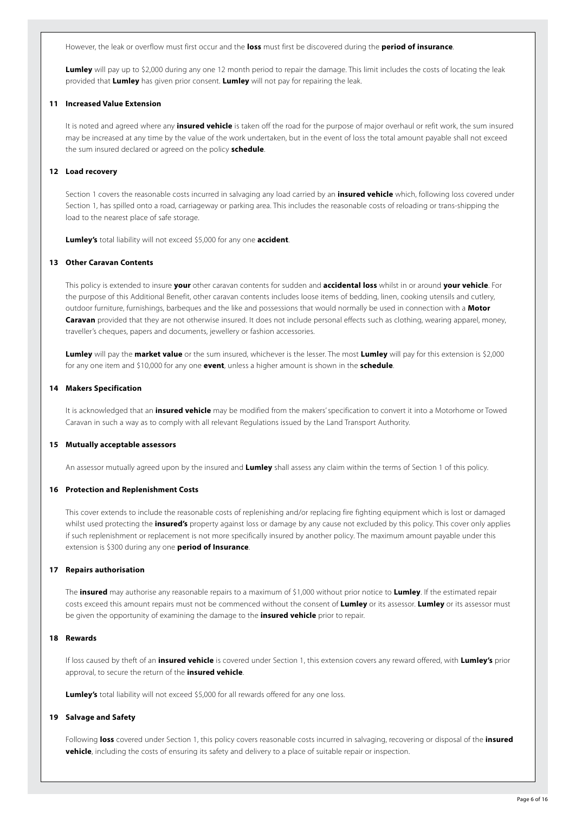However, the leak or overflow must first occur and the **loss** must first be discovered during the **period of insurance**.

**Lumley** will pay up to \$2,000 during any one 12 month period to repair the damage. This limit includes the costs of locating the leak provided that **Lumley** has given prior consent. **Lumley** will not pay for repairing the leak.

## **11 Increased Value Extension**

It is noted and agreed where any **insured vehicle** is taken off the road for the purpose of major overhaul or refit work, the sum insured may be increased at any time by the value of the work undertaken, but in the event of loss the total amount payable shall not exceed the sum insured declared or agreed on the policy **schedule**.

#### **12 Load recovery**

Section 1 covers the reasonable costs incurred in salvaging any load carried by an **insured vehicle** which, following loss covered under Section 1, has spilled onto a road, carriageway or parking area. This includes the reasonable costs of reloading or trans-shipping the load to the nearest place of safe storage.

**Lumley's** total liability will not exceed \$5,000 for any one **accident**.

## **13 Other Caravan Contents**

This policy is extended to insure **your** other caravan contents for sudden and **accidental loss** whilst in or around **your vehicle**. For the purpose of this Additional Benefit, other caravan contents includes loose items of bedding, linen, cooking utensils and cutlery, outdoor furniture, furnishings, barbeques and the like and possessions that would normally be used in connection with a **Motor Caravan** provided that they are not otherwise insured. It does not include personal effects such as clothing, wearing apparel, money, traveller's cheques, papers and documents, jewellery or fashion accessories.

**Lumley** will pay the **market value** or the sum insured, whichever is the lesser. The most **Lumley** will pay for this extension is \$2,000 for any one item and \$10,000 for any one **event**, unless a higher amount is shown in the **schedule**.

#### **14 Makers Specification**

It is acknowledged that an **insured vehicle** may be modified from the makers' specification to convert it into a Motorhome or Towed Caravan in such a way as to comply with all relevant Regulations issued by the Land Transport Authority.

## **15 Mutually acceptable assessors**

An assessor mutually agreed upon by the insured and **Lumley** shall assess any claim within the terms of Section 1 of this policy.

## **16 Protection and Replenishment Costs**

This cover extends to include the reasonable costs of replenishing and/or replacing fire fighting equipment which is lost or damaged whilst used protecting the **insured's** property against loss or damage by any cause not excluded by this policy. This cover only applies if such replenishment or replacement is not more specifically insured by another policy. The maximum amount payable under this extension is \$300 during any one **period of Insurance**.

#### **17 Repairs authorisation**

The **insured** may authorise any reasonable repairs to a maximum of \$1,000 without prior notice to **Lumley**. If the estimated repair costs exceed this amount repairs must not be commenced without the consent of **Lumley** or its assessor. **Lumley** or its assessor must be given the opportunity of examining the damage to the **insured vehicle** prior to repair.

## **18 Rewards**

If loss caused by theft of an **insured vehicle** is covered under Section 1, this extension covers any reward offered, with **Lumley's** prior approval, to secure the return of the **insured vehicle**.

**Lumley's** total liability will not exceed \$5,000 for all rewards offered for any one loss.

#### **19 Salvage and Safety**

Following **loss** covered under Section 1, this policy covers reasonable costs incurred in salvaging, recovering or disposal of the **insured vehicle**, including the costs of ensuring its safety and delivery to a place of suitable repair or inspection.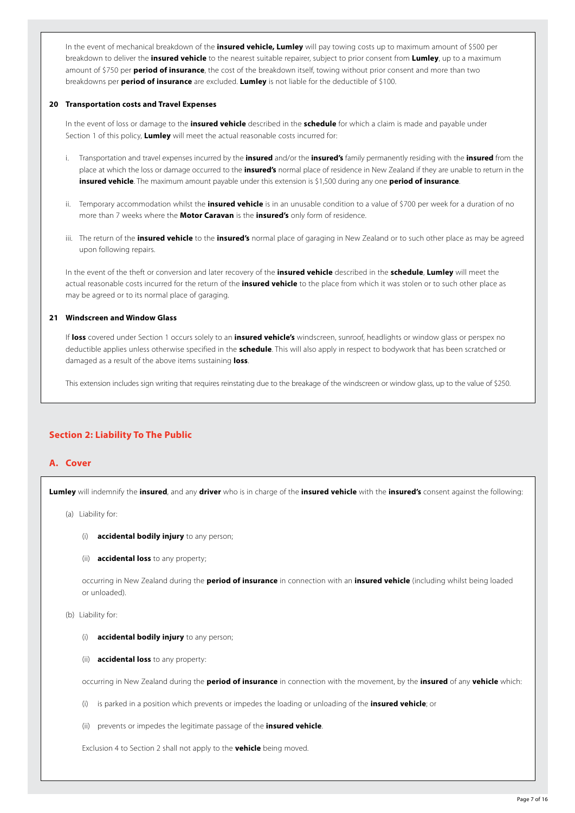In the event of mechanical breakdown of the **insured vehicle, Lumley** will pay towing costs up to maximum amount of \$500 per breakdown to deliver the **insured vehicle** to the nearest suitable repairer, subject to prior consent from **Lumley**, up to a maximum amount of \$750 per **period of insurance**, the cost of the breakdown itself, towing without prior consent and more than two breakdowns per **period of insurance** are excluded. **Lumley** is not liable for the deductible of \$100.

## **20 Transportation costs and Travel Expenses**

In the event of loss or damage to the **insured vehicle** described in the **schedule** for which a claim is made and payable under Section 1 of this policy, **Lumley** will meet the actual reasonable costs incurred for:

- i. Transportation and travel expenses incurred by the **insured** and/or the **insured's** family permanently residing with the **insured** from the place at which the loss or damage occurred to the **insured's** normal place of residence in New Zealand if they are unable to return in the **insured vehicle**. The maximum amount payable under this extension is \$1,500 during any one **period of insurance**.
- ii. Temporary accommodation whilst the **insured vehicle** is in an unusable condition to a value of \$700 per week for a duration of no more than 7 weeks where the **Motor Caravan** is the **insured's** only form of residence.
- iii. The return of the **insured vehicle** to the **insured's** normal place of garaging in New Zealand or to such other place as may be agreed upon following repairs.

In the event of the theft or conversion and later recovery of the **insured vehicle** described in the **schedule**, **Lumley** will meet the actual reasonable costs incurred for the return of the **insured vehicle** to the place from which it was stolen or to such other place as may be agreed or to its normal place of garaging.

## **21 Windscreen and Window Glass**

If **loss** covered under Section 1 occurs solely to an **insured vehicle's** windscreen, sunroof, headlights or window glass or perspex no deductible applies unless otherwise specified in the **schedule**. This will also apply in respect to bodywork that has been scratched or damaged as a result of the above items sustaining **loss**.

This extension includes sign writing that requires reinstating due to the breakage of the windscreen or window glass, up to the value of \$250.

# **Section 2: Liability To The Public**

## **A. Cover**

**Lumley** will indemnify the **insured**, and any **driver** who is in charge of the **insured vehicle** with the **insured's** consent against the following:

- (a) Liability for:
	- (i) **accidental bodily injury** to any person;
	- (ii) **accidental loss** to any property;

occurring in New Zealand during the **period of insurance** in connection with an **insured vehicle** (including whilst being loaded or unloaded).

## (b) Liability for:

- (i) **accidental bodily injury** to any person;
- (ii) **accidental loss** to any property:

occurring in New Zealand during the **period of insurance** in connection with the movement, by the **insured** of any **vehicle** which:

- (i) is parked in a position which prevents or impedes the loading or unloading of the **insured vehicle**; or
- (ii) prevents or impedes the legitimate passage of the **insured vehicle**.

Exclusion 4 to Section 2 shall not apply to the **vehicle** being moved.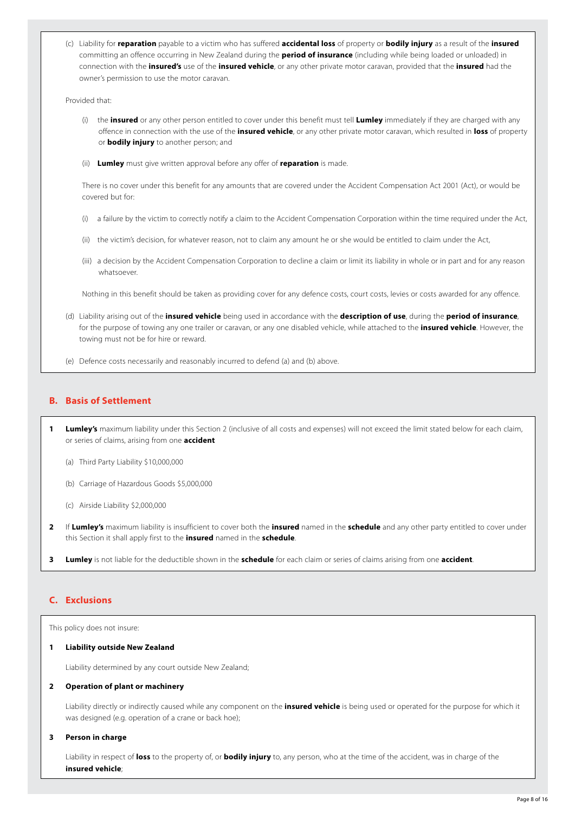(c) Liability for **reparation** payable to a victim who has suffered **accidental loss** of property or **bodily injury** as a result of the **insured** committing an offence occurring in New Zealand during the **period of insurance** (including while being loaded or unloaded) in connection with the **insured's** use of the **insured vehicle**, or any other private motor caravan, provided that the **insured** had the owner's permission to use the motor caravan.

Provided that:

- (i) the **insured** or any other person entitled to cover under this benefit must tell **Lumley** immediately if they are charged with any offence in connection with the use of the **insured vehicle**, or any other private motor caravan, which resulted in **loss** of property or **bodily injury** to another person; and
- (ii) **Lumley** must give written approval before any offer of **reparation** is made.

There is no cover under this benefit for any amounts that are covered under the Accident Compensation Act 2001 (Act), or would be covered but for:

- (i) a failure by the victim to correctly notify a claim to the Accident Compensation Corporation within the time required under the Act,
- (ii) the victim's decision, for whatever reason, not to claim any amount he or she would be entitled to claim under the Act,
- (iii) a decision by the Accident Compensation Corporation to decline a claim or limit its liability in whole or in part and for any reason whatsoever.

Nothing in this benefit should be taken as providing cover for any defence costs, court costs, levies or costs awarded for any offence.

- (d) Liability arising out of the **insured vehicle** being used in accordance with the **description of use**, during the **period of insurance**, for the purpose of towing any one trailer or caravan, or any one disabled vehicle, while attached to the **insured vehicle**. However, the towing must not be for hire or reward.
- (e) Defence costs necessarily and reasonably incurred to defend (a) and (b) above.

# **B. Basis of Settlement**

- **1 Lumley's** maximum liability under this Section 2 (inclusive of all costs and expenses) will not exceed the limit stated below for each claim, or series of claims, arising from one **accident**
	- (a) Third Party Liability \$10,000,000
	- (b) Carriage of Hazardous Goods \$5,000,000
	- (c) Airside Liability \$2,000,000
- **2** If **Lumley's** maximum liability is insufficient to cover both the **insured** named in the **schedule** and any other party entitled to cover under this Section it shall apply first to the **insured** named in the **schedule**.
- **3 Lumley** is not liable for the deductible shown in the **schedule** for each claim or series of claims arising from one **accident**.

# **C. Exclusions**

This policy does not insure:

#### **1 Liability outside New Zealand**

Liability determined by any court outside New Zealand;

## **2 Operation of plant or machinery**

Liability directly or indirectly caused while any component on the **insured vehicle** is being used or operated for the purpose for which it was designed (e.g. operation of a crane or back hoe);

## **3 Person in charge**

Liability in respect of **loss** to the property of, or **bodily injury** to, any person, who at the time of the accident, was in charge of the **insured vehicle**;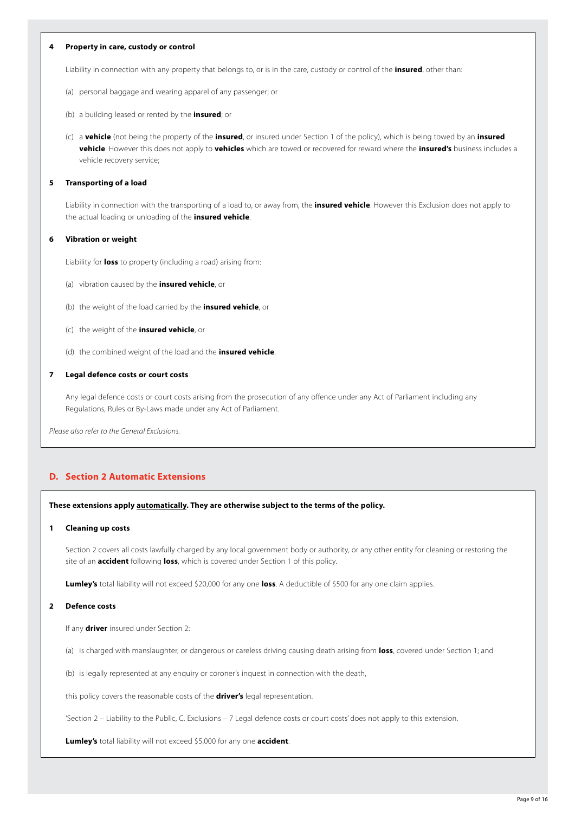## **4 Property in care, custody or control**

Liability in connection with any property that belongs to, or is in the care, custody or control of the **insured**, other than:

- (a) personal baggage and wearing apparel of any passenger; or
- (b) a building leased or rented by the **insured**; or
- (c) a **vehicle** (not being the property of the **insured**, or insured under Section 1 of the policy), which is being towed by an **insured vehicle**. However this does not apply to **vehicles** which are towed or recovered for reward where the **insured's** business includes a vehicle recovery service;

#### **5 Transporting of a load**

Liability in connection with the transporting of a load to, or away from, the **insured vehicle**. However this Exclusion does not apply to the actual loading or unloading of the **insured vehicle**.

## **6 Vibration or weight**

Liability for **loss** to property (including a road) arising from:

- (a) vibration caused by the **insured vehicle**, or
- (b) the weight of the load carried by the **insured vehicle**, or
- (c) the weight of the **insured vehicle**, or
- (d) the combined weight of the load and the **insured vehicle**.

## **7 Legal defence costs or court costs**

Any legal defence costs or court costs arising from the prosecution of any offence under any Act of Parliament including any Regulations, Rules or By-Laws made under any Act of Parliament.

*Please also refer to the General Exclusions.*

## **D. Section 2 Automatic Extensions**

## **These extensions apply automatically. They are otherwise subject to the terms of the policy.**

#### **1 Cleaning up costs**

Section 2 covers all costs lawfully charged by any local government body or authority, or any other entity for cleaning or restoring the site of an **accident** following **loss**, which is covered under Section 1 of this policy.

**Lumley's** total liability will not exceed \$20,000 for any one **loss**. A deductible of \$500 for any one claim applies.

#### **2 Defence costs**

If any **driver** insured under Section 2:

- (a) is charged with manslaughter, or dangerous or careless driving causing death arising from **loss**, covered under Section 1; and
- (b) is legally represented at any enquiry or coroner's inquest in connection with the death,

this policy covers the reasonable costs of the **driver's** legal representation.

'Section 2 – Liability to the Public, C. Exclusions – 7 Legal defence costs or court costs' does not apply to this extension.

**Lumley's** total liability will not exceed \$5,000 for any one **accident**.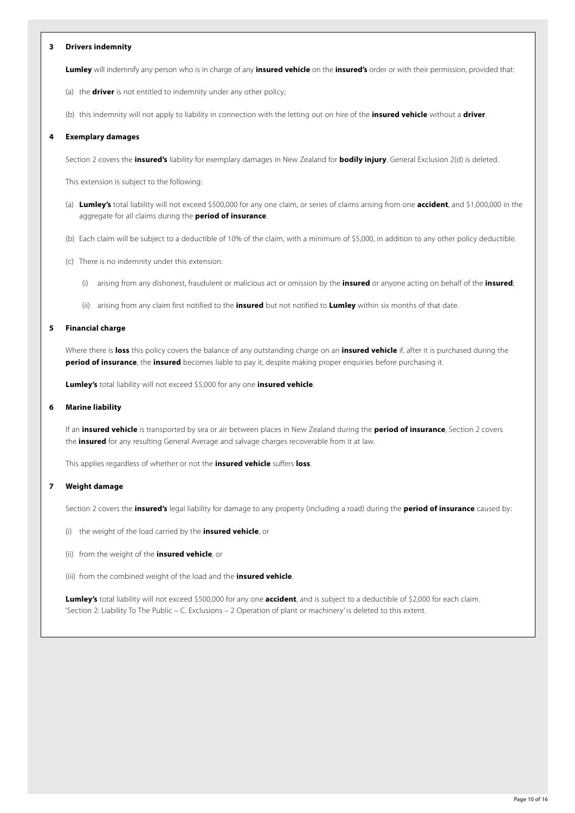## **3 Drivers indemnity**

**Lumley** will indemnify any person who is in charge of any **insured vehicle** on the **insured's** order or with their permission, provided that:

- (a) the **driver** is not entitled to indemnity under any other policy;
- (b) this indemnity will not apply to liability in connection with the letting out on hire of the **insured vehicle** without a **driver**.

## **4 Exemplary damages**

Section 2 covers the **insured's** liability for exemplary damages in New Zealand for **bodily injury**. General Exclusion 2(d) is deleted.

This extension is subject to the following:

- (a) **Lumley's** total liability will not exceed \$500,000 for any one claim, or series of claims arising from one **accident**, and \$1,000,000 in the aggregate for all claims during the **period of insurance**.
- (b) Each claim will be subject to a deductible of 10% of the claim, with a minimum of \$5,000, in addition to any other policy deductible.
- (c) There is no indemnity under this extension:
	- (i) arising from any dishonest, fraudulent or malicious act or omission by the **insured** or anyone acting on behalf of the **insured**;
	- (ii) arising from any claim first notified to the **insured** but not notified to **Lumley** within six months of that date.

#### **5 Financial charge**

Where there is **loss** this policy covers the balance of any outstanding charge on an **insured vehicle** if, after it is purchased during the **period of insurance**, the **insured** becomes liable to pay it, despite making proper enquiries before purchasing it.

**Lumley's** total liability will not exceed \$5,000 for any one **insured vehicle**.

## **6 Marine liability**

If an **insured vehicle** is transported by sea or air between places in New Zealand during the **period of insurance**, Section 2 covers the **insured** for any resulting General Average and salvage charges recoverable from it at law.

This applies regardless of whether or not the **insured vehicle** suffers **loss**.

#### **7 Weight damage**

Section 2 covers the **insured's** legal liability for damage to any property (including a road) during the **period of insurance** caused by:

- (i) the weight of the load carried by the **insured vehicle**, or
- (ii) from the weight of the **insured vehicle**, or
- (iii) from the combined weight of the load and the **insured vehicle**.

**Lumley's** total liability will not exceed \$500,000 for any one **accident**, and is subject to a deductible of \$2,000 for each claim. 'Section 2: Liability To The Public – C. Exclusions – 2 Operation of plant or machinery' is deleted to this extent.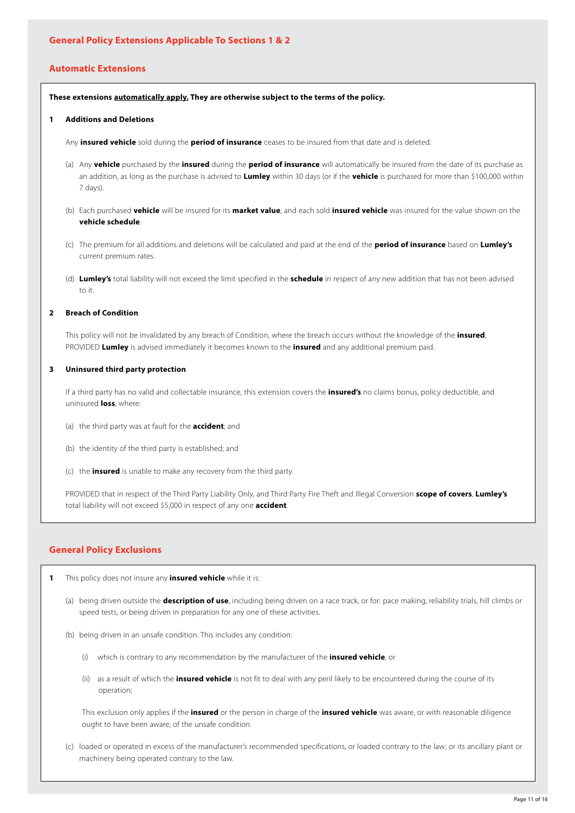# **Automatic Extensions**

**These extensions automatically apply. They are otherwise subject to the terms of the policy.**

## **1 Additions and Deletions**

Any **insured vehicle** sold during the **period of insurance** ceases to be insured from that date and is deleted.

- (a) Any **vehicle** purchased by the **insured** during the **period of insurance** will automatically be insured from the date of its purchase as an addition, as long as the purchase is advised to **Lumley** within 30 days (or if the **vehicle** is purchased for more than \$100,000 within 7 days).
- (b) Each purchased **vehicle** will be insured for its **market value**, and each sold **insured vehicle** was insured for the value shown on the **vehicle schedule**.
- (c) The premium for all additions and deletions will be calculated and paid at the end of the **period of insurance** based on **Lumley's** current premium rates.
- (d) **Lumley's** total liability will not exceed the limit specified in the **schedule** in respect of any new addition that has not been advised to it.

## **2 Breach of Condition**

This policy will not be invalidated by any breach of Condition, where the breach occurs without the knowledge of the **insured**, PROVIDED **Lumley** is advised immediately it becomes known to the **insured** and any additional premium paid.

#### **3 Uninsured third party protection**

If a third party has no valid and collectable insurance, this extension covers the **insured's** no claims bonus, policy deductible, and uninsured **loss**, where:

- (a) the third party was at fault for the **accident**; and
- (b) the identity of the third party is established; and
- (c) the **insured** is unable to make any recovery from the third party.

PROVIDED that in respect of the Third Party Liability Only, and Third Party Fire Theft and Illegal Conversion **scope of covers**, **Lumley's** total liability will not exceed \$5,000 in respect of any one **accident**.

## **General Policy Exclusions**

- **1** This policy does not insure any **insured vehicle** while it is:
	- (a) being driven outside the **description of use**, including being driven on a race track, or for: pace making, reliability trials, hill climbs or speed tests, or being driven in preparation for any one of these activities.
	- (b) being driven in an unsafe condition. This includes any condition:
		- (i) which is contrary to any recommendation by the manufacturer of the **insured vehicle**, or
		- (ii) as a result of which the **insured vehicle** is not fit to deal with any peril likely to be encountered during the course of its operation;

This exclusion only applies if the **insured** or the person in charge of the **insured vehicle** was aware, or with reasonable diligence ought to have been aware, of the unsafe condition.

(c) loaded or operated in excess of the manufacturer's recommended specifications, or loaded contrary to the law; or its ancillary plant or machinery being operated contrary to the law.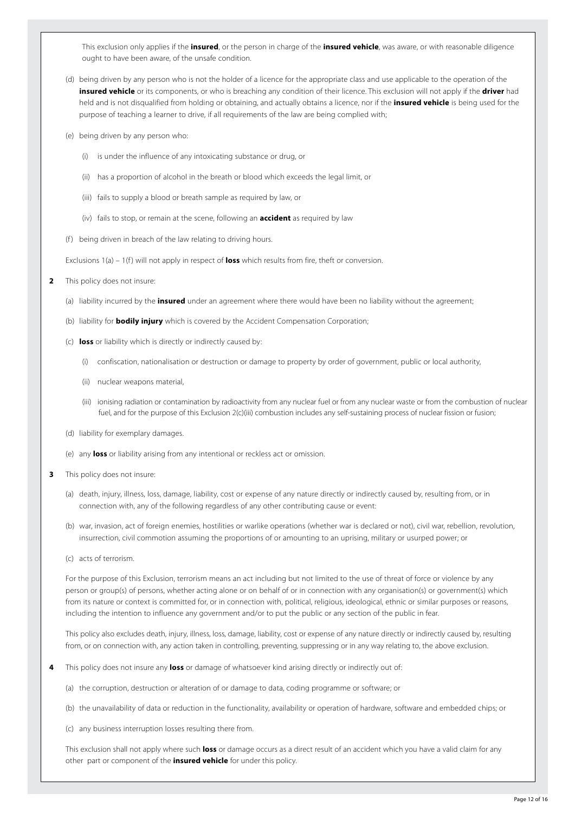This exclusion only applies if the **insured**, or the person in charge of the **insured vehicle**, was aware, or with reasonable diligence ought to have been aware, of the unsafe condition.

- (d) being driven by any person who is not the holder of a licence for the appropriate class and use applicable to the operation of the **insured vehicle** or its components, or who is breaching any condition of their licence. This exclusion will not apply if the **driver** had held and is not disqualified from holding or obtaining, and actually obtains a licence, nor if the **insured vehicle** is being used for the purpose of teaching a learner to drive, if all requirements of the law are being complied with;
- (e) being driven by any person who:
	- (i) is under the influence of any intoxicating substance or drug, or
	- (ii) has a proportion of alcohol in the breath or blood which exceeds the legal limit, or
	- (iii) fails to supply a blood or breath sample as required by law, or
	- (iv) fails to stop, or remain at the scene, following an **accident** as required by law
- (f) being driven in breach of the law relating to driving hours.

Exclusions 1(a) – 1(f) will not apply in respect of **loss** which results from fire, theft or conversion.

- **2** This policy does not insure:
	- (a) liability incurred by the **insured** under an agreement where there would have been no liability without the agreement;
	- (b) liability for **bodily injury** which is covered by the Accident Compensation Corporation;
	- (c) **loss** or liability which is directly or indirectly caused by:
		- (i) confiscation, nationalisation or destruction or damage to property by order of government, public or local authority,
		- (ii) nuclear weapons material,
		- (iii) ionising radiation or contamination by radioactivity from any nuclear fuel or from any nuclear waste or from the combustion of nuclear fuel, and for the purpose of this Exclusion 2(c)(iii) combustion includes any self-sustaining process of nuclear fission or fusion;
	- (d) liability for exemplary damages.
	- (e) any **loss** or liability arising from any intentional or reckless act or omission.
- **3** This policy does not insure:
	- (a) death, injury, illness, loss, damage, liability, cost or expense of any nature directly or indirectly caused by, resulting from, or in connection with, any of the following regardless of any other contributing cause or event:
	- (b) war, invasion, act of foreign enemies, hostilities or warlike operations (whether war is declared or not), civil war, rebellion, revolution, insurrection, civil commotion assuming the proportions of or amounting to an uprising, military or usurped power; or
	- (c) acts of terrorism.

For the purpose of this Exclusion, terrorism means an act including but not limited to the use of threat of force or violence by any person or group(s) of persons, whether acting alone or on behalf of or in connection with any organisation(s) or government(s) which from its nature or context is committed for, or in connection with, political, religious, ideological, ethnic or similar purposes or reasons, including the intention to influence any government and/or to put the public or any section of the public in fear.

This policy also excludes death, injury, illness, loss, damage, liability, cost or expense of any nature directly or indirectly caused by, resulting from, or on connection with, any action taken in controlling, preventing, suppressing or in any way relating to, the above exclusion.

- **4** This policy does not insure any **loss** or damage of whatsoever kind arising directly or indirectly out of:
	- (a) the corruption, destruction or alteration of or damage to data, coding programme or software; or
	- (b) the unavailability of data or reduction in the functionality, availability or operation of hardware, software and embedded chips; or
	- (c) any business interruption losses resulting there from.

This exclusion shall not apply where such **loss** or damage occurs as a direct result of an accident which you have a valid claim for any other part or component of the **insured vehicle** for under this policy.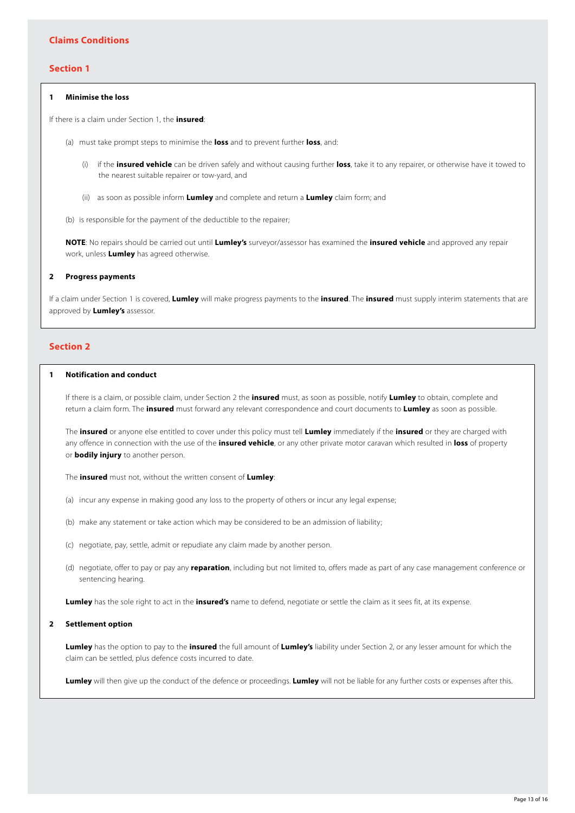## **Section 1**

## **1 Minimise the loss**

If there is a claim under Section 1, the **insured**:

- (a) must take prompt steps to minimise the **loss** and to prevent further **loss**, and:
	- (i) if the **insured vehicle** can be driven safely and without causing further **loss**, take it to any repairer, or otherwise have it towed to the nearest suitable repairer or tow-yard, and
	- (ii) as soon as possible inform **Lumley** and complete and return a **Lumley** claim form; and
- (b) is responsible for the payment of the deductible to the repairer;

**NOTE**: No repairs should be carried out until **Lumley's** surveyor/assessor has examined the **insured vehicle** and approved any repair work, unless **Lumley** has agreed otherwise.

## **2 Progress payments**

If a claim under Section 1 is covered, **Lumley** will make progress payments to the **insured**. The **insured** must supply interim statements that are approved by **Lumley's** assessor.

## **Section 2**

# **1 Notification and conduct**

If there is a claim, or possible claim, under Section 2 the **insured** must, as soon as possible, notify **Lumley** to obtain, complete and return a claim form. The **insured** must forward any relevant correspondence and court documents to **Lumley** as soon as possible.

The **insured** or anyone else entitled to cover under this policy must tell **Lumley** immediately if the **insured** or they are charged with any offence in connection with the use of the **insured vehicle**, or any other private motor caravan which resulted in **loss** of property or **bodily injury** to another person.

The **insured** must not, without the written consent of **Lumley**:

- (a) incur any expense in making good any loss to the property of others or incur any legal expense;
- (b) make any statement or take action which may be considered to be an admission of liability;
- (c) negotiate, pay, settle, admit or repudiate any claim made by another person.
- (d) negotiate, offer to pay or pay any **reparation**, including but not limited to, offers made as part of any case management conference or sentencing hearing.

**Lumley** has the sole right to act in the **insured's** name to defend, negotiate or settle the claim as it sees fit, at its expense.

#### **2 Settlement option**

**Lumley** has the option to pay to the **insured** the full amount of **Lumley's** liability under Section 2, or any lesser amount for which the claim can be settled, plus defence costs incurred to date.

**Lumley** will then give up the conduct of the defence or proceedings. **Lumley** will not be liable for any further costs or expenses after this.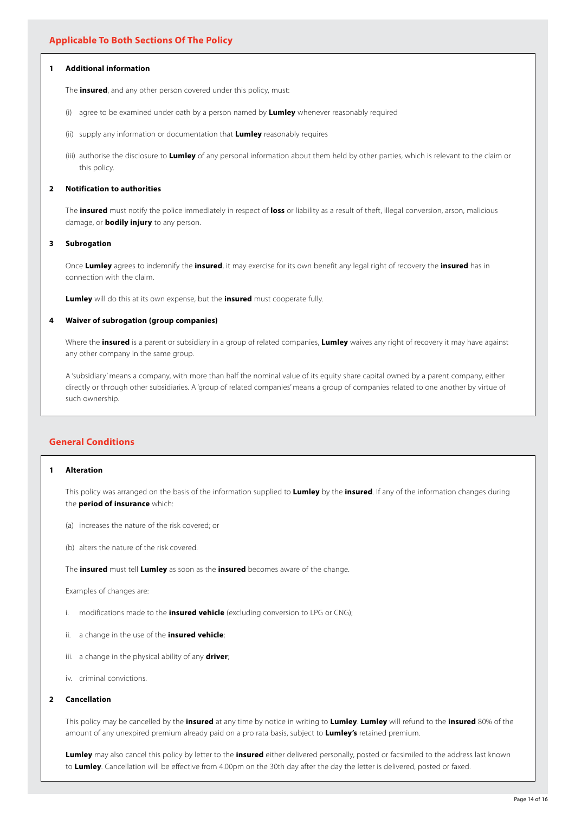## **1 Additional information**

The **insured**, and any other person covered under this policy, must:

- (i) agree to be examined under oath by a person named by **Lumley** whenever reasonably required
- (ii) supply any information or documentation that **Lumley** reasonably requires
- (iii) authorise the disclosure to **Lumley** of any personal information about them held by other parties, which is relevant to the claim or this policy.

#### **2 Notification to authorities**

The **insured** must notify the police immediately in respect of **loss** or liability as a result of theft, illegal conversion, arson, malicious damage, or **bodily injury** to any person.

#### **3 Subrogation**

Once **Lumley** agrees to indemnify the **insured**, it may exercise for its own benefit any legal right of recovery the **insured** has in connection with the claim.

**Lumley** will do this at its own expense, but the **insured** must cooperate fully.

## **4 Waiver of subrogation (group companies)**

Where the **insured** is a parent or subsidiary in a group of related companies, **Lumley** waives any right of recovery it may have against any other company in the same group.

A 'subsidiary' means a company, with more than half the nominal value of its equity share capital owned by a parent company, either directly or through other subsidiaries. A 'group of related companies' means a group of companies related to one another by virtue of such ownership.

# **General Conditions**

## **1 Alteration**

This policy was arranged on the basis of the information supplied to **Lumley** by the **insured**. If any of the information changes during the **period of insurance** which:

- (a) increases the nature of the risk covered; or
- (b) alters the nature of the risk covered.

The **insured** must tell **Lumley** as soon as the **insured** becomes aware of the change.

Examples of changes are:

- i. modifications made to the **insured vehicle** (excluding conversion to LPG or CNG);
- ii. a change in the use of the **insured vehicle**;
- iii. a change in the physical ability of any **driver**;
- iv. criminal convictions.

#### **2 Cancellation**

This policy may be cancelled by the **insured** at any time by notice in writing to **Lumley**. **Lumley** will refund to the **insured** 80% of the amount of any unexpired premium already paid on a pro rata basis, subject to **Lumley's** retained premium.

**Lumley** may also cancel this policy by letter to the **insured** either delivered personally, posted or facsimiled to the address last known to **Lumley**. Cancellation will be effective from 4.00pm on the 30th day after the day the letter is delivered, posted or faxed.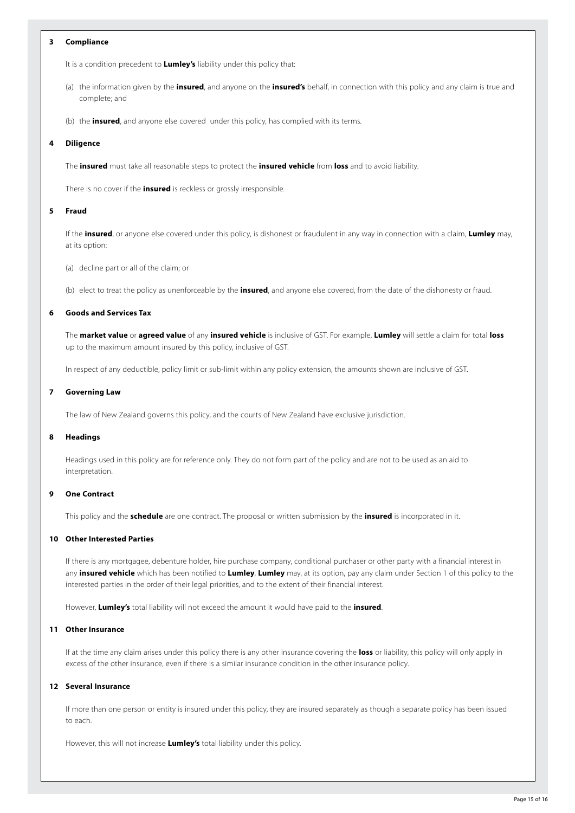## **3 Compliance**

It is a condition precedent to **Lumley's** liability under this policy that:

- (a) the information given by the **insured**, and anyone on the **insured's** behalf, in connection with this policy and any claim is true and complete; and
- (b) the **insured**, and anyone else covered under this policy, has complied with its terms.

#### **4 Diligence**

The **insured** must take all reasonable steps to protect the **insured vehicle** from **loss** and to avoid liability.

There is no cover if the **insured** is reckless or grossly irresponsible.

#### **5 Fraud**

If the **insured**, or anyone else covered under this policy, is dishonest or fraudulent in any way in connection with a claim, **Lumley** may, at its option:

(a) decline part or all of the claim; or

(b) elect to treat the policy as unenforceable by the **insured**, and anyone else covered, from the date of the dishonesty or fraud.

## **6 Goods and Services Tax**

The **market value** or **agreed value** of any **insured vehicle** is inclusive of GST. For example, **Lumley** will settle a claim for total **loss** up to the maximum amount insured by this policy, inclusive of GST.

In respect of any deductible, policy limit or sub-limit within any policy extension, the amounts shown are inclusive of GST.

#### **7 Governing Law**

The law of New Zealand governs this policy, and the courts of New Zealand have exclusive jurisdiction.

#### **8 Headings**

Headings used in this policy are for reference only. They do not form part of the policy and are not to be used as an aid to interpretation.

## **9 One Contract**

This policy and the **schedule** are one contract. The proposal or written submission by the **insured** is incorporated in it.

## **10 Other Interested Parties**

If there is any mortgagee, debenture holder, hire purchase company, conditional purchaser or other party with a financial interest in any **insured vehicle** which has been notified to **Lumley**, **Lumley** may, at its option, pay any claim under Section 1 of this policy to the interested parties in the order of their legal priorities, and to the extent of their financial interest.

However, **Lumley's** total liability will not exceed the amount it would have paid to the **insured**.

## **11 Other Insurance**

If at the time any claim arises under this policy there is any other insurance covering the **loss** or liability, this policy will only apply in excess of the other insurance, even if there is a similar insurance condition in the other insurance policy.

#### **12 Several Insurance**

If more than one person or entity is insured under this policy, they are insured separately as though a separate policy has been issued to each.

However, this will not increase **Lumley's** total liability under this policy.